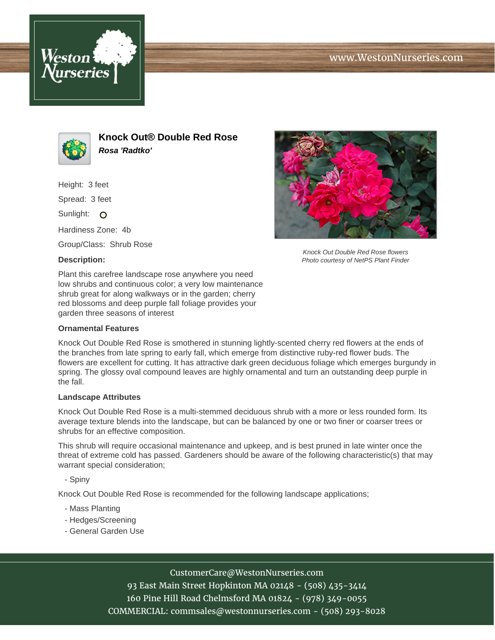



**Knock Out® Double Red Rose Rosa 'Radtko'**

Height: 3 feet

Spread: 3 feet

Sunlight: O

Hardiness Zone: 4b

Group/Class: Shrub Rose

## **Description:**



Knock Out Double Red Rose flowers Photo courtesy of NetPS Plant Finder

Plant this carefree landscape rose anywhere you need low shrubs and continuous color; a very low maintenance shrub great for along walkways or in the garden; cherry red blossoms and deep purple fall foliage provides your garden three seasons of interest

## **Ornamental Features**

Knock Out Double Red Rose is smothered in stunning lightly-scented cherry red flowers at the ends of the branches from late spring to early fall, which emerge from distinctive ruby-red flower buds. The flowers are excellent for cutting. It has attractive dark green deciduous foliage which emerges burgundy in spring. The glossy oval compound leaves are highly ornamental and turn an outstanding deep purple in the fall.

#### **Landscape Attributes**

Knock Out Double Red Rose is a multi-stemmed deciduous shrub with a more or less rounded form. Its average texture blends into the landscape, but can be balanced by one or two finer or coarser trees or shrubs for an effective composition.

This shrub will require occasional maintenance and upkeep, and is best pruned in late winter once the threat of extreme cold has passed. Gardeners should be aware of the following characteristic(s) that may warrant special consideration;

- Spiny

Knock Out Double Red Rose is recommended for the following landscape applications;

- Mass Planting
- Hedges/Screening
- General Garden Use

## CustomerCare@WestonNurseries.com

93 East Main Street Hopkinton MA 02148 - (508) 435-3414 160 Pine Hill Road Chelmsford MA 01824 - (978) 349-0055 COMMERCIAL: commsales@westonnurseries.com - (508) 293-8028